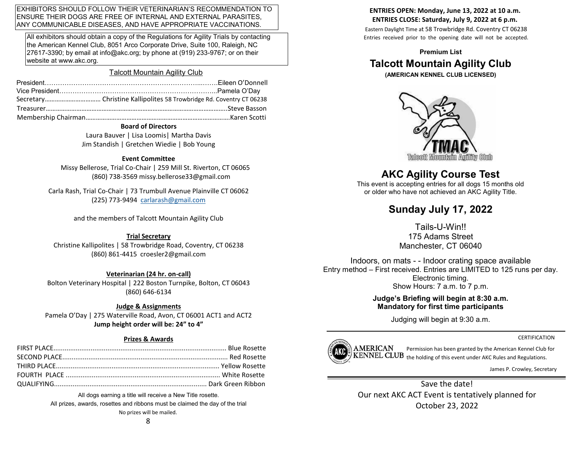EXHIBITORS SHOULD FOLLOW THEIR VETERINARIAN'S RECOMMENDATION TO ENSURE THEIR DOGS ARE FREE OF INTERNAL AND EXTERNAL PARASITES, ANY COMMUNICABLE DISEASES, AND HAVE APPROPRIATE VACCINATIONS.

All exhibitors should obtain a copy of the Regulations for Agility Trials by contacting the American Kennel Club, 8051 Arco Corporate Drive, Suite 100, Raleigh, NC 27617-3390; by email at info@akc.org; by phone at (919) 233-9767; or on their website at [www.akc.org.](http://www.akc.org/)

#### Talcott Mountain Agility Club

#### **Board of Directors**

Laura Bauver | Lisa Loomis| Martha Davis Jim Standish | Gretchen Wiedie | Bob Young

#### **Event Committee**

 Missy Bellerose, Trial Co-Chair | 259 Mill St. Riverton, CT 06065 (860) 738-3569 missy.bellerose33@gmail.com

Carla Rash, Trial Co-Chair | 73 Trumbull Avenue Plainville CT 06062 (225) 773-9494 [carlarash@gmail.com](mailto:carlarash@gmail.com)

and the members of Talcott Mountain Agility Club

#### **Trial Secretary**

Christine Kallipolites | 58 Trowbridge Road, Coventry, CT 06238 (860) 861-4415 croesler2@gmail.com

#### **Veterinarian (24 hr. on-call)**

Bolton Veterinary Hospital | 222 Boston Turnpike, Bolton, CT 06043 (860) 646-6134

#### **Judge & Assignments**

Pamela O'Day | 275 Waterville Road, Avon, CT 06001 ACT1 and ACT2 **Jump height order will be: 24" to 4"**

#### **Prizes & Awards**

All dogs earning a title will receive a New Title rosette.

All prizes, awards, rosettes and ribbons must be claimed the day of the trial

### **ENTRIES OPEN: Monday, June 13, 2022 at 10 a.m. ENTRIES CLOSE: Saturday, July 9, 2022 at 6 p.m.**

Eastern Daylight Time at 58 Trowbridge Rd. Coventry CT 06238 Entries received prior to the opening date will not be accepted.

**Premium List Talcott Mountain Agility Club (AMERICAN KENNEL CLUB LICENSED)**



# **AKC Agility Course Test**

This event is accepting entries for all dogs 15 months old or older who have not achieved an AKC Agility Title.

# **Sunday July 17, 2022**

Tails-U-Win!!

175 Adams Street Manchester, CT 06040

Indoors, on mats - - Indoor crating space available Entry method – First received. Entries are LIMITED to 125 runs per day. Electronic timing. Show Hours: 7 a.m. to 7 p.m.

### **Judge's Briefing will begin at 8:30 a.m. Mandatory for first time participants**

Judging will begin at 9:30 a.m.



CERTIFICATION

Permission has been granted by the American Kennel Club for  $\textbf{KENNEL CLUB}$  the holding of this event under AKC Rules and Regulations.

James P. Crowley, Secretary

Save the date! Our next AKC ACT Event is tentatively planned for October 23, 2022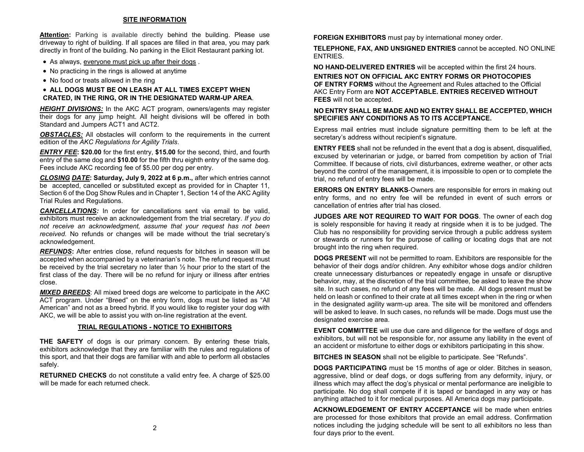#### **SITE INFORMATION**

Attention: Parking is available directly behind the building. Please use driveway to right of building. If all spaces are filled in that area, you may park directly in front of the building. No parking in the Elicit Restaurant parking lot.

- As always, everyone must pick up after their dogs .
- No practicing in the rings is allowed at anytime
- No food or treats allowed in the ring

#### **ALL DOGS MUST BE ON LEASH AT ALL TIMES EXCEPT WHEN CRATED, IN THE RING, OR IN THE DESIGNATED WARM-UP AREA**.

*HEIGHT DIVISIONS:* In the AKC ACT program, owners/agents may register their dogs for any jump height. All height divisions will be offered in both Standard and Jumpers ACT1 and ACT2.

*OBSTACLES:* All obstacles will conform to the requirements in the current edition of the *AKC Regulations for Agility Trials*.

*ENTRY FEE***: \$20.00** for the first entry, **\$15.00** for the second, third, and fourth entry of the same dog and **\$10.00** for the fifth thru eighth entry of the same dog. Fees include AKC recording fee of \$5.00 per dog per entry.

*CLOSING DATE***: Saturday, July 9, 2022 at 6 p.m.,** after which entries cannot be accepted, cancelled or substituted except as provided for in Chapter 11, Section 6 of the Dog Show Rules and in Chapter 1, Section 14 of the AKC Agility Trial Rules and Regulations.

*CANCELLATIONS:* In order for cancellations sent via email to be valid, exhibitors must receive an acknowledgement from the trial secretary. *If you do not receive an acknowledgment, assume that your request has not been received.* No refunds or changes will be made without the trial secretary's acknowledgement.

**REFUNDS:** After entries close, refund requests for bitches in season will be accepted when accompanied by a veterinarian's note. The refund request must be received by the trial secretary no later than ½ hour prior to the start of the first class of the day. There will be no refund for injury or illness after entries close.

**MIXED BREEDS:** All mixed breed dogs are welcome to participate in the AKC ACT program. Under "Breed" on the entry form, dogs must be listed as "All American" and not as a breed hybrid. If you would like to register your dog with AKC, we will be able to assist you with on-line registration at the event.

### **TRIAL REGULATIONS - NOTICE TO EXHIBITORS**

**THE SAFETY** of dogs is our primary concern. By entering these trials, exhibitors acknowledge that they are familiar with the rules and regulations of this sport, and that their dogs are familiar with and able to perform all obstacles safely.

**RETURNED CHECKS** do not constitute a valid entry fee. A charge of \$25.00 will be made for each returned check.

**FOREIGN EXHIBITORS** must pay by international money order.

**TELEPHONE, FAX, AND UNSIGNED ENTRIES** cannot be accepted. NO ONLINE ENTRIES.

**NO HAND-DELIVERED ENTRIES** will be accepted within the first 24 hours. **ENTRIES NOT ON OFFICIAL AKC ENTRY FORMS OR PHOTOCOPIES OF ENTRY FORMS** without the Agreement and Rules attached to the Official AKC Entry Form are **NOT ACCEPTABLE. ENTRIES RECEIVED WITHOUT FEES** will not be accepted.

#### **NO ENTRY SHALL BE MADE AND NO ENTRY SHALL BE ACCEPTED, WHICH SPECIFIES ANY CONDITIONS AS TO ITS ACCEPTANCE.**

Express mail entries must include signature permitting them to be left at the secretary's address without recipient's signature.

**ENTRY FEES** shall not be refunded in the event that a dog is absent, disqualified, excused by veterinarian or judge, or barred from competition by action of Trial Committee. If because of riots, civil disturbances, extreme weather, or other acts beyond the control of the management, it is impossible to open or to complete the trial, no refund of entry fees will be made.

**ERRORS ON ENTRY BLANKS**-Owners are responsible for errors in making out entry forms, and no entry fee will be refunded in event of such errors or cancellation of entries after trial has closed.

**JUDGES ARE NOT REQUIRED TO WAIT FOR DOGS**. The owner of each dog is solely responsible for having it ready at ringside when it is to be judged. The Club has no responsibility for providing service through a public address system or stewards or runners for the purpose of calling or locating dogs that are not brought into the ring when required.

**DOGS PRESENT** will not be permitted to roam. Exhibitors are responsible for the behavior of their dogs and/or children. Any exhibitor whose dogs and/or children create unnecessary disturbances or repeatedly engage in unsafe or disruptive behavior, may, at the discretion of the trial committee, be asked to leave the show site. In such cases, no refund of any fees will be made. All dogs present must be held on leash or confined to their crate at all times except when in the ring or when in the designated agility warm-up area. The site will be monitored and offenders will be asked to leave. In such cases, no refunds will be made. Dogs must use the designated exercise area.

**EVENT COMMITTEE** will use due care and diligence for the welfare of dogs and exhibitors, but will not be responsible for, nor assume any liability in the event of an accident or misfortune to either dogs or exhibitors participating in this show.

**BITCHES IN SEASON** shall not be eligible to participate. See "Refunds".

**DOGS PARTICIPATING** must be 15 months of age or older. Bitches in season, aggressive, blind or deaf dogs, or dogs suffering from any deformity, injury, or illness which may affect the dog's physical or mental performance are ineligible to participate. No dog shall compete if it is taped or bandaged in any way or has anything attached to it for medical purposes. All America dogs may participate.

**ACKNOWLEDGEMENT OF ENTRY ACCEPTANCE** will be made when entries are processed for those exhibitors that provide an email address. Confirmation notices including the judging schedule will be sent to all exhibitors no less than four days prior to the event.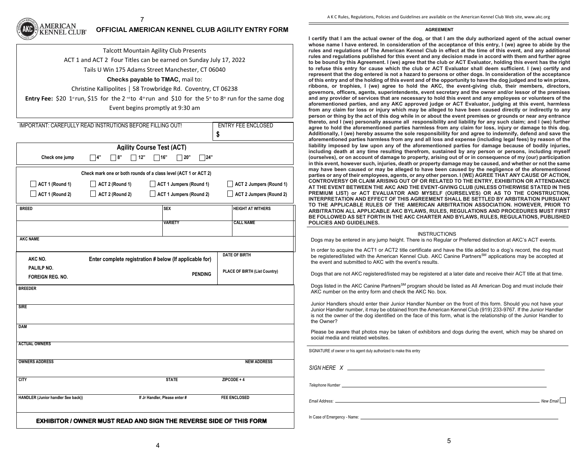A K C Rules, Regulations, Policies and Guidelines are available on the American Kennel Club Web site, www.akc.org



### **OFFICIAL AMERICAN KENNEL CLUB AGILITY ENTRY FORM**

7

|                                                                  |                              | <b>Talcott Mountain Agility Club Presents</b>                                                               |                                |
|------------------------------------------------------------------|------------------------------|-------------------------------------------------------------------------------------------------------------|--------------------------------|
|                                                                  |                              | ACT 1 and ACT 2 Four Titles can be earned on Sunday July 17, 2022                                           |                                |
|                                                                  |                              | Tails U Win 175 Adams Street Manchester, CT 06040                                                           |                                |
|                                                                  |                              | Checks payable to TMAC, mail to:                                                                            |                                |
|                                                                  |                              | Christine Kallipolites   58 Trowbridge Rd. Coventry, CT 06238                                               |                                |
|                                                                  |                              | Entry Fee: \$20 1*run, \$15 for the 2 <sup>nd</sup> to 4*run and \$10 for the 5* to 8* run for the same dog |                                |
|                                                                  |                              | Event begins promptly at 9:30 am                                                                            |                                |
| <b>IMPORTANT: CAREFULLY READ INSTRUTIONS BEFORE FILLING OUT!</b> |                              |                                                                                                             | <b>ENTRY FEE ENCLOSED</b>      |
|                                                                  |                              |                                                                                                             | \$                             |
|                                                                  |                              | <b>Agility Course Test (ACT)</b>                                                                            |                                |
| Check one jump                                                   | ∏4"<br>8"<br>$\parallel$ 12" | 16"<br>20"<br> 24"                                                                                          |                                |
|                                                                  |                              |                                                                                                             |                                |
|                                                                  |                              | Check mark one or both rounds of a class level (ACT 1 or ACT 2)                                             |                                |
| ACT 1 (Round 1)                                                  | $\Box$ ACT 2 (Round 1)       | ACT 1 Jumpers (Round 1)                                                                                     | ACT 2 Jumpers (Round 1)        |
| ACT 1 (Round 2)                                                  | ACT 2 (Round 2)              | ACT 1 Jumpers (Round 2)                                                                                     | <b>ACT 2 Jumpers (Round 2)</b> |
| <b>BREED</b>                                                     |                              | <b>SEX</b>                                                                                                  | <b>HEIGHT AT WITHERS</b>       |
|                                                                  |                              |                                                                                                             |                                |
|                                                                  |                              | <b>VARIETY</b>                                                                                              | <b>CALL NAME</b>               |
| <b>AKC NAME</b>                                                  |                              |                                                                                                             |                                |
|                                                                  |                              |                                                                                                             |                                |
| AKC NO.                                                          |                              | Enter complete registration # below (If applicable for)                                                     | <b>DATE OF BIRTH</b>           |
| PAL/ILP NO.                                                      |                              |                                                                                                             | PLACE OF BIRTH (List Country)  |
| <b>FOREIGN REG. NO.</b>                                          |                              | <b>PENDING</b>                                                                                              |                                |
| <b>BREEDER</b>                                                   |                              |                                                                                                             |                                |
|                                                                  |                              |                                                                                                             |                                |
| SIRE                                                             |                              |                                                                                                             |                                |
|                                                                  |                              |                                                                                                             |                                |
| DAM                                                              |                              |                                                                                                             |                                |
| <b>ACTUAL OWNERS</b>                                             |                              |                                                                                                             |                                |
|                                                                  |                              |                                                                                                             |                                |
| <b>OWNERS ADDRESS</b>                                            |                              |                                                                                                             | <b>NEW ADDRESS</b>             |
|                                                                  |                              |                                                                                                             |                                |
| CITY                                                             |                              | <b>STATE</b>                                                                                                | $ZIPCODE + 4$                  |
| HANDLER (Junior handler See back))                               |                              | If Jr Handler, Please enter #                                                                               | <b>FEE ENCLOSED</b>            |
|                                                                  |                              |                                                                                                             |                                |

#### **AGREEMENT**

**I certify that I am the actual owner of the dog, or that I am the duly authorized agent of the actual owner whose name I have entered. In consideration of the acceptance of this entry, I (we) agree to abide by the rules and regulations of The American Kennel Club in effect at the time of this event, and any additional rules and regulations published for this event and any decision made in accord with them and further agree to be bound by this Agreement. I (we) agree that the club or ACT Evaluator, holding this event has the right to refuse this entry for cause which the club or ACT Evaluator shall deem sufficient. I (we) certify and represent that the dog entered is not a hazard to persons or other dogs. In consideration of the acceptance of this entry and of the holding of this event and of the opportunity to have the dog judged and to win prizes, ribbons, or trophies, I (we) agree to hold the AKC, the event-giving club, their members, directors, governors, officers, agents, superintendents, event secretary and the owner and/or lessor of the premises and any provider of services that are necessary to hold this event and any employees or volunteers of the aforementioned parties, and any AKC approved judge or ACT Evaluator, judging at this event, harmless from any claim for loss or injury which may be alleged to have been caused directly or indirectly to any person or thing by the act of this dog while in or about the event premises or grounds or near any entrance thereto, and I (we) personally assume all responsibility and liability for any such claim; and I (we) further agree to hold the aforementioned parties harmless from any claim for loss, injury or damage to this dog. Additionally, I (we) hereby assume the sole responsibility for and agree to indemnify, defend and save the aforementioned parties harmless from any and all loss and expense (including legal fees) by reason of the liability imposed by law upon any of the aforementioned parties for damage because of bodily injuries, including death at any time resulting therefrom, sustained by any person or persons, including myself (ourselves), or on account of damage to property, arising out of or in consequence of my (our) participation in this event, however such, injuries, death or property damage may be caused, and whether or not the same may have been caused or may be alleged to have been caused by the negligence of the aforementioned parties or any of their employees, agents, or any other person. I (WE) AGREE THAT ANY CAUSE OF ACTION, CONTROVERSY OR CLAIM ARISING OUT OF OR RELATED TO THE ENTRY, EXHIBITION OR ATTENDANCE AT THE EVENT BETWEEN THE AKC AND THE EVENT-GIVING CLUB (UNLESS OTHERWISE STATED IN THIS PREMIUM LIST) or ACT EVALUATOR AND MYSELF (OURSELVES) OR AS TO THE CONSTRUCTION, INTERPRETATION AND EFFECT OF THIS AGREEMENT SHALL BE SETTLED BY ARBITRATION PURSUANT TO THE APPLICABLE RULES OF THE AMERICAN ARBITRATION ASSOCIATION. HOWEVER, PRIOR TO ARBITRATION ALL APPLICABLE AKC BYLAWS, RULES, REGULATIONS AND PROCEDURES MUST FIRST BE FOLLOWED AS SET FORTH IN THE AKC CHARTER AND BYLAWS, RULES, REGULATIONS, PUBLISHED POLICIES AND GUIDELINES.**

#### **INSTRUCTIONS**

Dogs may be entered in any jump height. There is no Regular or Preferred distinction at AKC's ACT events.

In order to acquire the ACT1 or ACT2 title certificate and have the title added to a dog's record, the dog must be registered/listed with the American Kennel Club. AKC Canine Partners<sup>SM</sup> applications may be accepted at the event and submitted to AKC with the event's results.

Dogs that are not AKC registered/listed may be registered at a later date and receive their ACT title at that time.

Dogs listed in the AKC Canine Partners<sup>SM</sup> program should be listed as All American Dog and must include their AKC number on the entry form and check the AKC No. box.

Junior Handlers should enter their Junior Handler Number on the front of this form. Should you not have your Junior Handler number, it may be obtained from the American Kennel Club (919) 233-9767. If the Junior Handler is not the owner of the dog identified on the face of this form, what is the relationship of the Junior Handler to the Owner?

Please be aware that photos may be taken of exhibitors and dogs during the event, which may be shared on social media and related websites.

SIGNATURE of owner or his agent duly authorized to make this entry

*SIGN HERE X*

*Telephone Number*

*Email Address: New Email*

In Case of Emergency - Name: \_